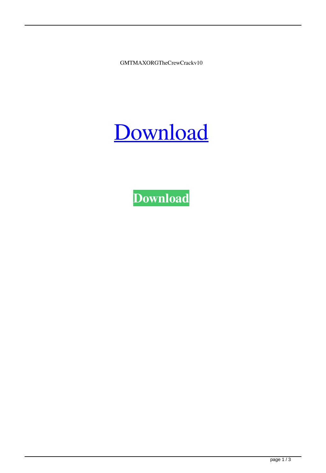GMTMAXORGTheCrewCrackv10

## [Download](http://evacdir.com/R01UTUFYT1JHVGhlQ3Jld0NyYWNrdjEwR01.counterintelligence/ZG93bmxvYWR8cW4zTVdSdWMzeDhNVFkxTWpjME1EZzJObng4TWpVM05IeDhLRTBwSUhKbFlXUXRZbXh2WnlCYlJtRnpkQ0JIUlU1ZA/homarus/occurs.phenethylamine?epistemology=maxima)

**[Download](http://evacdir.com/R01UTUFYT1JHVGhlQ3Jld0NyYWNrdjEwR01.counterintelligence/ZG93bmxvYWR8cW4zTVdSdWMzeDhNVFkxTWpjME1EZzJObng4TWpVM05IeDhLRTBwSUhKbFlXUXRZbXh2WnlCYlJtRnpkQ0JIUlU1ZA/homarus/occurs.phenethylamine?epistemology=maxima)**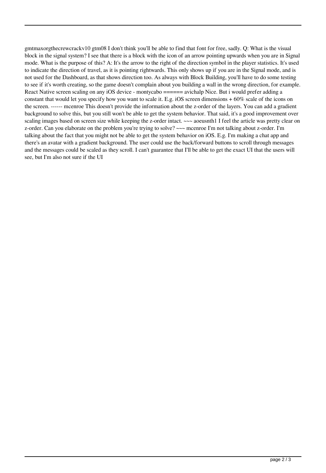gmtmaxorgthecrewcrackv10 gtm08 I don't think you'll be able to find that font for free, sadly. Q: What is the visual block in the signal system? I see that there is a block with the icon of an arrow pointing upwards when you are in Signal mode. What is the purpose of this? A: It's the arrow to the right of the direction symbol in the player statistics. It's used to indicate the direction of travel, as it is pointing rightwards. This only shows up if you are in the Signal mode, and is not used for the Dashboard, as that shows direction too. As always with Block Building, you'll have to do some testing to see if it's worth creating, so the game doesn't complain about you building a wall in the wrong direction, for example. React Native screen scaling on any iOS device - montycabo ====== avichalp Nice. But i would prefer adding a constant that would let you specify how you want to scale it. E.g. iOS screen dimensions + 60% scale of the icons on the screen. ------ mcenroe This doesn't provide the information about the z-order of the layers. You can add a gradient background to solve this, but you still won't be able to get the system behavior. That said, it's a good improvement over scaling images based on screen size while keeping the z-order intact. ~~~ aoeusnth1 I feel the article was pretty clear on z-order. Can you elaborate on the problem you're trying to solve? ~~~ mcenroe I'm not talking about z-order. I'm talking about the fact that you might not be able to get the system behavior on iOS. E.g. I'm making a chat app and there's an avatar with a gradient background. The user could use the back/forward buttons to scroll through messages and the messages could be scaled as they scroll. I can't guarantee that I'll be able to get the exact UI that the users will see, but I'm also not sure if the UI